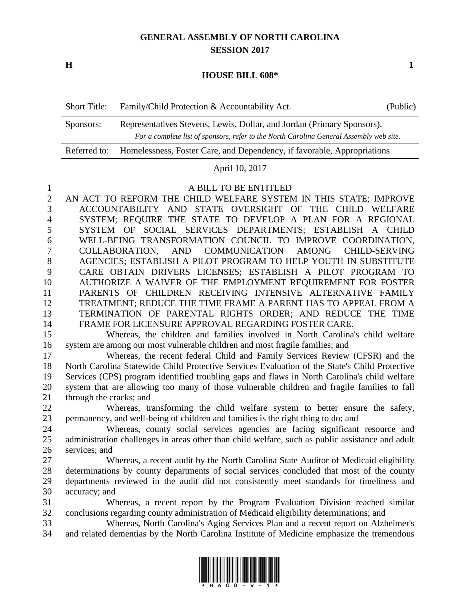# **GENERAL ASSEMBLY OF NORTH CAROLINA SESSION 2017**

**H 1**

### **HOUSE BILL 608\***

| <b>Short Title:</b> | Family/Child Protection & Accountability Act.<br>(Public)                               |  |  |
|---------------------|-----------------------------------------------------------------------------------------|--|--|
| Sponsors:           | Representatives Stevens, Lewis, Dollar, and Jordan (Primary Sponsors).                  |  |  |
|                     | For a complete list of sponsors, refer to the North Carolina General Assembly web site. |  |  |
| Referred to:        | Homelessness, Foster Care, and Dependency, if favorable, Appropriations                 |  |  |

#### April 10, 2017

### A BILL TO BE ENTITLED

 AN ACT TO REFORM THE CHILD WELFARE SYSTEM IN THIS STATE; IMPROVE ACCOUNTABILITY AND STATE OVERSIGHT OF THE CHILD WELFARE SYSTEM; REQUIRE THE STATE TO DEVELOP A PLAN FOR A REGIONAL SYSTEM OF SOCIAL SERVICES DEPARTMENTS; ESTABLISH A CHILD WELL-BEING TRANSFORMATION COUNCIL TO IMPROVE COORDINATION, COLLABORATION, AND COMMUNICATION AMONG CHILD-SERVING AGENCIES; ESTABLISH A PILOT PROGRAM TO HELP YOUTH IN SUBSTITUTE CARE OBTAIN DRIVERS LICENSES; ESTABLISH A PILOT PROGRAM TO AUTHORIZE A WAIVER OF THE EMPLOYMENT REQUIREMENT FOR FOSTER PARENTS OF CHILDREN RECEIVING INTENSIVE ALTERNATIVE FAMILY TREATMENT; REDUCE THE TIME FRAME A PARENT HAS TO APPEAL FROM A TERMINATION OF PARENTAL RIGHTS ORDER; AND REDUCE THE TIME FRAME FOR LICENSURE APPROVAL REGARDING FOSTER CARE.

 Whereas, the children and families involved in North Carolina's child welfare system are among our most vulnerable children and most fragile families; and

 Whereas, the recent federal Child and Family Services Review (CFSR) and the North Carolina Statewide Child Protective Services Evaluation of the State's Child Protective Services (CPS) program identified troubling gaps and flaws in North Carolina's child welfare system that are allowing too many of those vulnerable children and fragile families to fall through the cracks; and

 Whereas, transforming the child welfare system to better ensure the safety, permanency, and well-being of children and families is the right thing to do; and

 Whereas, county social services agencies are facing significant resource and administration challenges in areas other than child welfare, such as public assistance and adult services; and

 Whereas, a recent audit by the North Carolina State Auditor of Medicaid eligibility determinations by county departments of social services concluded that most of the county departments reviewed in the audit did not consistently meet standards for timeliness and accuracy; and

 Whereas, a recent report by the Program Evaluation Division reached similar conclusions regarding county administration of Medicaid eligibility determinations; and

 Whereas, North Carolina's Aging Services Plan and a recent report on Alzheimer's and related dementias by the North Carolina Institute of Medicine emphasize the tremendous

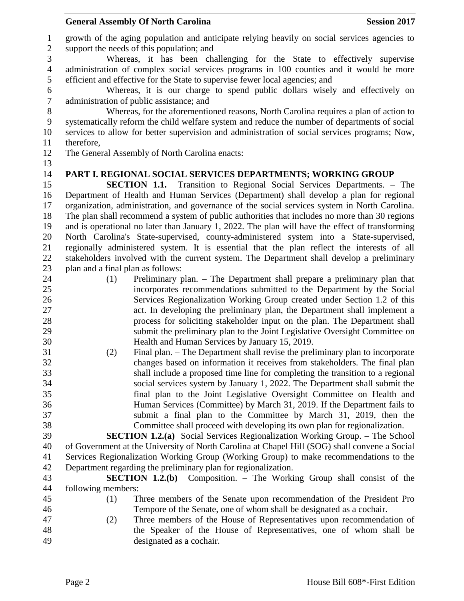growth of the aging population and anticipate relying heavily on social services agencies to support the needs of this population; and Whereas, it has been challenging for the State to effectively supervise administration of complex social services programs in 100 counties and it would be more efficient and effective for the State to supervise fewer local agencies; and Whereas, it is our charge to spend public dollars wisely and effectively on administration of public assistance; and Whereas, for the aforementioned reasons, North Carolina requires a plan of action to systematically reform the child welfare system and reduce the number of departments of social services to allow for better supervision and administration of social services programs; Now, therefore, The General Assembly of North Carolina enacts: **PART I. REGIONAL SOCIAL SERVICES DEPARTMENTS; WORKING GROUP SECTION 1.1.** Transition to Regional Social Services Departments. – The Department of Health and Human Services (Department) shall develop a plan for regional organization, administration, and governance of the social services system in North Carolina. The plan shall recommend a system of public authorities that includes no more than 30 regions and is operational no later than January 1, 2022. The plan will have the effect of transforming North Carolina's State-supervised, county-administered system into a State-supervised, regionally administered system. It is essential that the plan reflect the interests of all stakeholders involved with the current system. The Department shall develop a preliminary plan and a final plan as follows: (1) Preliminary plan. – The Department shall prepare a preliminary plan that incorporates recommendations submitted to the Department by the Social Services Regionalization Working Group created under Section 1.2 of this act. In developing the preliminary plan, the Department shall implement a process for soliciting stakeholder input on the plan. The Department shall submit the preliminary plan to the Joint Legislative Oversight Committee on Health and Human Services by January 15, 2019. (2) Final plan. – The Department shall revise the preliminary plan to incorporate changes based on information it receives from stakeholders. The final plan shall include a proposed time line for completing the transition to a regional social services system by January 1, 2022. The Department shall submit the final plan to the Joint Legislative Oversight Committee on Health and Human Services (Committee) by March 31, 2019. If the Department fails to submit a final plan to the Committee by March 31, 2019, then the Committee shall proceed with developing its own plan for regionalization. **SECTION 1.2.(a)** Social Services Regionalization Working Group. – The School of Government at the University of North Carolina at Chapel Hill (SOG) shall convene a Social Services Regionalization Working Group (Working Group) to make recommendations to the Department regarding the preliminary plan for regionalization. **SECTION 1.2.(b)** Composition. – The Working Group shall consist of the following members: (1) Three members of the Senate upon recommendation of the President Pro Tempore of the Senate, one of whom shall be designated as a cochair. (2) Three members of the House of Representatives upon recommendation of the Speaker of the House of Representatives, one of whom shall be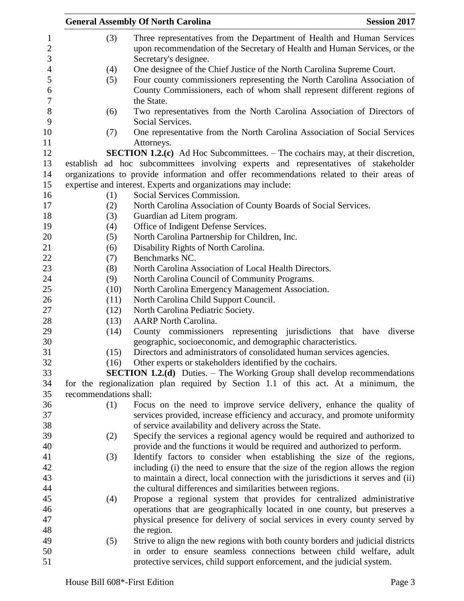|                                       |                        | <b>General Assembly Of North Carolina</b><br><b>Session 2017</b>                                                                                                             |
|---------------------------------------|------------------------|------------------------------------------------------------------------------------------------------------------------------------------------------------------------------|
| 1<br>$\overline{c}$<br>$\mathfrak{Z}$ | (3)                    | Three representatives from the Department of Health and Human Services<br>upon recommendation of the Secretary of Health and Human Services, or the<br>Secretary's designee. |
| $\overline{4}$                        | (4)                    | One designee of the Chief Justice of the North Carolina Supreme Court.                                                                                                       |
| 5                                     | (5)                    | Four county commissioners representing the North Carolina Association of                                                                                                     |
| 6                                     |                        | County Commissioners, each of whom shall represent different regions of                                                                                                      |
| $\boldsymbol{7}$                      |                        | the State.                                                                                                                                                                   |
| $8\,$                                 | (6)                    | Two representatives from the North Carolina Association of Directors of                                                                                                      |
| 9                                     |                        | Social Services.                                                                                                                                                             |
| 10                                    | (7)                    | One representative from the North Carolina Association of Social Services                                                                                                    |
| 11                                    |                        | Attorneys.                                                                                                                                                                   |
| 12                                    |                        | <b>SECTION 1.2.(c)</b> Ad Hoc Subcommittees. – The cochairs may, at their discretion,                                                                                        |
| 13                                    |                        | establish ad hoc subcommittees involving experts and representatives of stakeholder                                                                                          |
| 14                                    |                        | organizations to provide information and offer recommendations related to their areas of                                                                                     |
| 15                                    |                        | expertise and interest. Experts and organizations may include:                                                                                                               |
| 16                                    | (1)                    | Social Services Commission.                                                                                                                                                  |
| 17                                    | (2)                    | North Carolina Association of County Boards of Social Services.                                                                                                              |
| 18                                    | (3)                    | Guardian ad Litem program.                                                                                                                                                   |
| 19                                    | (4)                    | Office of Indigent Defense Services.                                                                                                                                         |
| 20                                    | (5)                    | North Carolina Partnership for Children, Inc.                                                                                                                                |
| 21                                    | (6)                    | Disability Rights of North Carolina.                                                                                                                                         |
| 22                                    | (7)                    | Benchmarks NC.                                                                                                                                                               |
| 23                                    | (8)                    | North Carolina Association of Local Health Directors.                                                                                                                        |
| 24                                    | (9)                    | North Carolina Council of Community Programs.                                                                                                                                |
| 25                                    | (10)                   | North Carolina Emergency Management Association.                                                                                                                             |
| 26                                    | (11)                   | North Carolina Child Support Council.                                                                                                                                        |
| 27                                    | (12)                   | North Carolina Pediatric Society.                                                                                                                                            |
| 28                                    | (13)                   | <b>AARP</b> North Carolina.                                                                                                                                                  |
| 29                                    | (14)                   | County commissioners representing jurisdictions that have diverse                                                                                                            |
| 30                                    |                        | geographic, socioeconomic, and demographic characteristics.                                                                                                                  |
| 31                                    | (15)                   | Directors and administrators of consolidated human services agencies.                                                                                                        |
| 32                                    | (16)                   | Other experts or stakeholders identified by the cochairs.                                                                                                                    |
| 33                                    |                        | <b>SECTION 1.2.(d)</b> Duties. – The Working Group shall develop recommendations                                                                                             |
| 34                                    |                        | for the regionalization plan required by Section 1.1 of this act. At a minimum, the                                                                                          |
| 35                                    | recommendations shall: |                                                                                                                                                                              |
| 36                                    | (1)                    | Focus on the need to improve service delivery, enhance the quality of                                                                                                        |
| 37                                    |                        | services provided, increase efficiency and accuracy, and promote uniformity                                                                                                  |
| 38                                    |                        | of service availability and delivery across the State.                                                                                                                       |
| 39                                    | (2)                    | Specify the services a regional agency would be required and authorized to                                                                                                   |
| 40                                    |                        | provide and the functions it would be required and authorized to perform.                                                                                                    |
| 41                                    | (3)                    | Identify factors to consider when establishing the size of the regions,                                                                                                      |
| 42                                    |                        | including (i) the need to ensure that the size of the region allows the region                                                                                               |
| 43                                    |                        | to maintain a direct, local connection with the jurisdictions it serves and (ii)                                                                                             |
| 44                                    |                        | the cultural differences and similarities between regions.                                                                                                                   |
| 45                                    | (4)                    | Propose a regional system that provides for centralized administrative                                                                                                       |
| 46                                    |                        | operations that are geographically located in one county, but preserves a                                                                                                    |
| 47                                    |                        | physical presence for delivery of social services in every county served by                                                                                                  |
| 48                                    |                        | the region.                                                                                                                                                                  |
| 49                                    | (5)                    | Strive to align the new regions with both county borders and judicial districts                                                                                              |
| 50                                    |                        | in order to ensure seamless connections between child welfare, adult                                                                                                         |
| 51                                    |                        | protective services, child support enforcement, and the judicial system.                                                                                                     |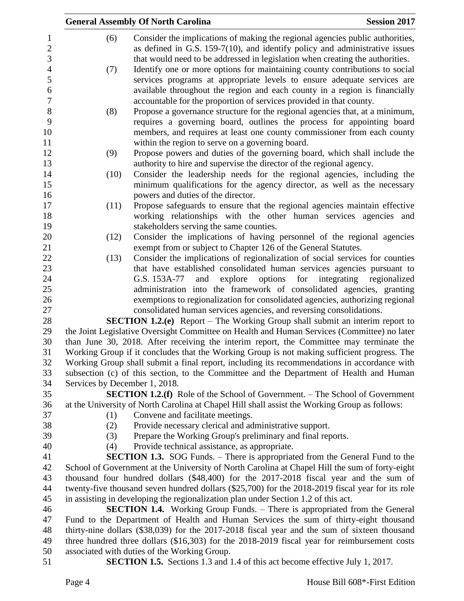|      | <b>General Assembly Of North Carolina</b>                                                        | <b>Session 2017</b>      |
|------|--------------------------------------------------------------------------------------------------|--------------------------|
| (6)  | Consider the implications of making the regional agencies public authorities,                    |                          |
|      | as defined in G.S. 159-7(10), and identify policy and administrative issues                      |                          |
|      | that would need to be addressed in legislation when creating the authorities.                    |                          |
| (7)  | Identify one or more options for maintaining county contributions to social                      |                          |
|      | services programs at appropriate levels to ensure adequate services are                          |                          |
|      | available throughout the region and each county in a region is financially                       |                          |
|      | accountable for the proportion of services provided in that county.                              |                          |
| (8)  | Propose a governance structure for the regional agencies that, at a minimum,                     |                          |
|      | requires a governing board, outlines the process for appointing board                            |                          |
|      | members, and requires at least one county commissioner from each county                          |                          |
|      | within the region to serve on a governing board.                                                 |                          |
| (9)  | Propose powers and duties of the governing board, which shall include the                        |                          |
|      | authority to hire and supervise the director of the regional agency.                             |                          |
| (10) | Consider the leadership needs for the regional agencies, including the                           |                          |
|      | minimum qualifications for the agency director, as well as the necessary                         |                          |
|      | powers and duties of the director.                                                               |                          |
| (11) | Propose safeguards to ensure that the regional agencies maintain effective                       |                          |
|      | working relationships with the other human services agencies and                                 |                          |
|      | stakeholders serving the same counties.                                                          |                          |
| (12) | Consider the implications of having personnel of the regional agencies                           |                          |
|      | exempt from or subject to Chapter 126 of the General Statutes.                                   |                          |
| (13) | Consider the implications of regionalization of social services for counties                     |                          |
|      | that have established consolidated human services agencies pursuant to                           |                          |
|      | options<br>and<br>explore<br>for<br>G.S. 153A-77                                                 | integrating regionalized |
|      | administration into the framework of consolidated agencies, granting                             |                          |
|      | exemptions to regionalization for consolidated agencies, authorizing regional                    |                          |
|      | consolidated human services agencies, and reversing consolidations.                              |                          |
|      | <b>SECTION 1.2.(e)</b> Report – The Working Group shall submit an interim report to              |                          |
|      | the Joint Legislative Oversight Committee on Health and Human Services (Committee) no later      |                          |
|      | than June 30, 2018. After receiving the interim report, the Committee may terminate the          |                          |
|      | Working Group if it concludes that the Working Group is not making sufficient progress. The      |                          |
|      | Working Group shall submit a final report, including its recommendations in accordance with      |                          |
|      | subsection (c) of this section, to the Committee and the Department of Health and Human          |                          |
|      | Services by December 1, 2018.                                                                    |                          |
|      | <b>SECTION 1.2.(f)</b> Role of the School of Government. – The School of Government              |                          |
|      | at the University of North Carolina at Chapel Hill shall assist the Working Group as follows:    |                          |
| (1)  | Convene and facilitate meetings.                                                                 |                          |
| (2)  | Provide necessary clerical and administrative support.                                           |                          |
| (3)  | Prepare the Working Group's preliminary and final reports.                                       |                          |
| (4)  | Provide technical assistance, as appropriate.                                                    |                          |
|      | <b>SECTION 1.3.</b> SOG Funds. – There is appropriated from the General Fund to the              |                          |
|      | School of Government at the University of North Carolina at Chapel Hill the sum of forty-eight   |                          |
|      | thousand four hundred dollars (\$48,400) for the 2017-2018 fiscal year and the sum of            |                          |
|      | twenty-five thousand seven hundred dollars (\$25,700) for the 2018-2019 fiscal year for its role |                          |
|      | in assisting in developing the regionalization plan under Section 1.2 of this act.               |                          |
|      | <b>SECTION 1.4.</b> Working Group Funds. – There is appropriated from the General                |                          |
|      | Fund to the Department of Health and Human Services the sum of thirty-eight thousand             |                          |
|      | thirty-nine dollars (\$38,039) for the 2017-2018 fiscal year and the sum of sixteen thousand     |                          |
|      | three hundred three dollars (\$16,303) for the 2018-2019 fiscal year for reimbursement costs     |                          |
|      | associated with duties of the Working Group.                                                     |                          |
|      | <b>SECTION 1.5.</b> Sections 1.3 and 1.4 of this act become effective July 1, 2017.              |                          |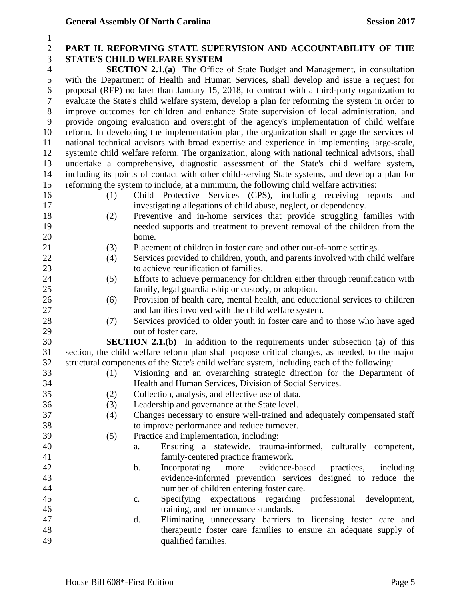| $\mathbf{1}$     |                                                                                          |                                                                                                |                         |  |  |
|------------------|------------------------------------------------------------------------------------------|------------------------------------------------------------------------------------------------|-------------------------|--|--|
| $\mathbf{2}$     | PART II. REFORMING STATE SUPERVISION AND ACCOUNTABILITY OF THE                           |                                                                                                |                         |  |  |
| 3                |                                                                                          | <b>STATE'S CHILD WELFARE SYSTEM</b>                                                            |                         |  |  |
| $\overline{4}$   | <b>SECTION 2.1.(a)</b> The Office of State Budget and Management, in consultation        |                                                                                                |                         |  |  |
| 5                |                                                                                          | with the Department of Health and Human Services, shall develop and issue a request for        |                         |  |  |
| 6                |                                                                                          | proposal (RFP) no later than January 15, 2018, to contract with a third-party organization to  |                         |  |  |
| $\boldsymbol{7}$ |                                                                                          | evaluate the State's child welfare system, develop a plan for reforming the system in order to |                         |  |  |
| $8\,$            | improve outcomes for children and enhance State supervision of local administration, and |                                                                                                |                         |  |  |
| 9                |                                                                                          | provide ongoing evaluation and oversight of the agency's implementation of child welfare       |                         |  |  |
| 10               |                                                                                          | reform. In developing the implementation plan, the organization shall engage the services of   |                         |  |  |
| 11               |                                                                                          | national technical advisors with broad expertise and experience in implementing large-scale,   |                         |  |  |
| 12               |                                                                                          | systemic child welfare reform. The organization, along with national technical advisors, shall |                         |  |  |
| 13               |                                                                                          | undertake a comprehensive, diagnostic assessment of the State's child welfare system,          |                         |  |  |
| 14               |                                                                                          | including its points of contact with other child-serving State systems, and develop a plan for |                         |  |  |
| 15               |                                                                                          | reforming the system to include, at a minimum, the following child welfare activities:         |                         |  |  |
| 16               | (1)                                                                                      | Child Protective Services (CPS), including receiving reports                                   | and                     |  |  |
| 17               |                                                                                          | investigating allegations of child abuse, neglect, or dependency.                              |                         |  |  |
| 18               | (2)                                                                                      | Preventive and in-home services that provide struggling families with                          |                         |  |  |
| 19               |                                                                                          | needed supports and treatment to prevent removal of the children from the                      |                         |  |  |
| 20               |                                                                                          | home.                                                                                          |                         |  |  |
| 21               | (3)                                                                                      | Placement of children in foster care and other out-of-home settings.                           |                         |  |  |
| 22               | (4)                                                                                      | Services provided to children, youth, and parents involved with child welfare                  |                         |  |  |
| 23               |                                                                                          | to achieve reunification of families.                                                          |                         |  |  |
| 24               | (5)                                                                                      | Efforts to achieve permanency for children either through reunification with                   |                         |  |  |
| 25               |                                                                                          | family, legal guardianship or custody, or adoption.                                            |                         |  |  |
| 26               | (6)                                                                                      | Provision of health care, mental health, and educational services to children                  |                         |  |  |
| 27               |                                                                                          | and families involved with the child welfare system.                                           |                         |  |  |
| 28               | (7)                                                                                      | Services provided to older youth in foster care and to those who have aged                     |                         |  |  |
| 29               |                                                                                          | out of foster care.                                                                            |                         |  |  |
| 30               |                                                                                          | <b>SECTION 2.1.(b)</b> In addition to the requirements under subsection (a) of this            |                         |  |  |
| 31               |                                                                                          | section, the child welfare reform plan shall propose critical changes, as needed, to the major |                         |  |  |
| 32               |                                                                                          | structural components of the State's child welfare system, including each of the following:    |                         |  |  |
| 33               |                                                                                          | (1) Visioning and an overarching strategic direction for the Department of                     |                         |  |  |
| 34               |                                                                                          | Health and Human Services, Division of Social Services.                                        |                         |  |  |
| 35               | (2)                                                                                      | Collection, analysis, and effective use of data.                                               |                         |  |  |
| 36               | (3)                                                                                      | Leadership and governance at the State level.                                                  |                         |  |  |
| 37               | (4)                                                                                      | Changes necessary to ensure well-trained and adequately compensated staff                      |                         |  |  |
| 38               |                                                                                          | to improve performance and reduce turnover.                                                    |                         |  |  |
| 39               | (5)                                                                                      | Practice and implementation, including:                                                        |                         |  |  |
| 40               |                                                                                          | Ensuring a statewide, trauma-informed, culturally competent,<br>a.                             |                         |  |  |
| 41               |                                                                                          | family-centered practice framework.                                                            |                         |  |  |
| 42               |                                                                                          | Incorporating<br>more<br>evidence-based<br>b.                                                  | practices,<br>including |  |  |
| 43               |                                                                                          | evidence-informed prevention services designed to reduce the                                   |                         |  |  |
| 44               |                                                                                          | number of children entering foster care.                                                       |                         |  |  |
| 45               |                                                                                          | Specifying expectations regarding professional development,<br>c.                              |                         |  |  |
| 46               |                                                                                          | training, and performance standards.                                                           |                         |  |  |
| 47               |                                                                                          | Eliminating unnecessary barriers to licensing foster care and<br>d.                            |                         |  |  |
| 48               |                                                                                          | therapeutic foster care families to ensure an adequate supply of                               |                         |  |  |
| 49               |                                                                                          | qualified families.                                                                            |                         |  |  |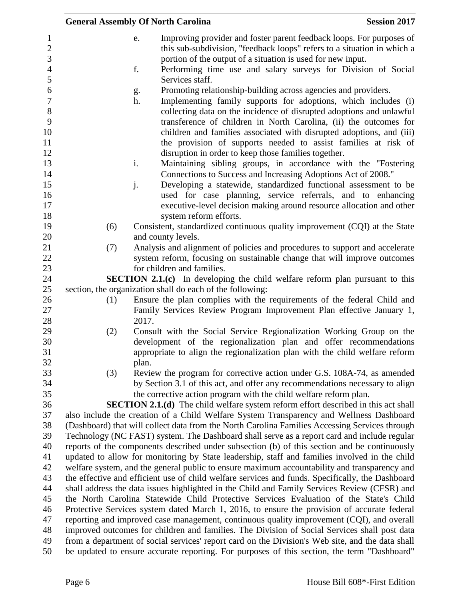| <b>General Assembly Of North Carolina</b> |       |                                                                   | <b>Session 2017</b>                                                                                                                                                                    |
|-------------------------------------------|-------|-------------------------------------------------------------------|----------------------------------------------------------------------------------------------------------------------------------------------------------------------------------------|
|                                           | e.    |                                                                   | Improving provider and foster parent feedback loops. For purposes of                                                                                                                   |
|                                           |       |                                                                   | this sub-subdivision, "feedback loops" refers to a situation in which a                                                                                                                |
|                                           |       | portion of the output of a situation is used for new input.       |                                                                                                                                                                                        |
|                                           | f.    |                                                                   | Performing time use and salary surveys for Division of Social                                                                                                                          |
|                                           |       | Services staff.                                                   |                                                                                                                                                                                        |
|                                           | g.    | Promoting relationship-building across agencies and providers.    |                                                                                                                                                                                        |
|                                           | h.    |                                                                   | Implementing family supports for adoptions, which includes (i)                                                                                                                         |
|                                           |       |                                                                   | collecting data on the incidence of disrupted adoptions and unlawful                                                                                                                   |
|                                           |       |                                                                   | transference of children in North Carolina, (ii) the outcomes for                                                                                                                      |
|                                           |       |                                                                   | children and families associated with disrupted adoptions, and (iii)                                                                                                                   |
|                                           |       |                                                                   | the provision of supports needed to assist families at risk of                                                                                                                         |
|                                           |       | disruption in order to keep those families together.              |                                                                                                                                                                                        |
|                                           | i.    |                                                                   | Maintaining sibling groups, in accordance with the "Fostering                                                                                                                          |
|                                           |       | Connections to Success and Increasing Adoptions Act of 2008."     |                                                                                                                                                                                        |
|                                           | j.    |                                                                   | Developing a statewide, standardized functional assessment to be<br>used for case planning, service referrals, and to enhancing                                                        |
|                                           |       |                                                                   | executive-level decision making around resource allocation and other                                                                                                                   |
|                                           |       | system reform efforts.                                            |                                                                                                                                                                                        |
| (6)                                       |       |                                                                   | Consistent, standardized continuous quality improvement (CQI) at the State                                                                                                             |
|                                           |       | and county levels.                                                |                                                                                                                                                                                        |
| (7)                                       |       |                                                                   | Analysis and alignment of policies and procedures to support and accelerate                                                                                                            |
|                                           |       |                                                                   | system reform, focusing on sustainable change that will improve outcomes                                                                                                               |
|                                           |       | for children and families.                                        |                                                                                                                                                                                        |
|                                           |       |                                                                   | <b>SECTION 2.1.(c)</b> In developing the child welfare reform plan pursuant to this                                                                                                    |
|                                           |       | section, the organization shall do each of the following:         |                                                                                                                                                                                        |
| (1)                                       |       |                                                                   | Ensure the plan complies with the requirements of the federal Child and                                                                                                                |
|                                           |       |                                                                   | Family Services Review Program Improvement Plan effective January 1,                                                                                                                   |
| (2)                                       | 2017. |                                                                   | Consult with the Social Service Regionalization Working Group on the                                                                                                                   |
|                                           |       |                                                                   | development of the regionalization plan and offer recommendations                                                                                                                      |
|                                           |       |                                                                   | appropriate to align the regionalization plan with the child welfare reform                                                                                                            |
|                                           | plan. |                                                                   |                                                                                                                                                                                        |
| (3)                                       |       |                                                                   | Review the program for corrective action under G.S. 108A-74, as amended                                                                                                                |
|                                           |       |                                                                   | by Section 3.1 of this act, and offer any recommendations necessary to align                                                                                                           |
|                                           |       | the corrective action program with the child welfare reform plan. |                                                                                                                                                                                        |
|                                           |       |                                                                   | <b>SECTION 2.1.(d)</b> The child welfare system reform effort described in this act shall                                                                                              |
|                                           |       |                                                                   | also include the creation of a Child Welfare System Transparency and Wellness Dashboard                                                                                                |
|                                           |       |                                                                   | (Dashboard) that will collect data from the North Carolina Families Accessing Services through                                                                                         |
|                                           |       |                                                                   | Technology (NC FAST) system. The Dashboard shall serve as a report card and include regular                                                                                            |
|                                           |       |                                                                   | reports of the components described under subsection (b) of this section and be continuously                                                                                           |
|                                           |       |                                                                   | updated to allow for monitoring by State leadership, staff and families involved in the child                                                                                          |
|                                           |       |                                                                   | welfare system, and the general public to ensure maximum accountability and transparency and                                                                                           |
|                                           |       |                                                                   | the effective and efficient use of child welfare services and funds. Specifically, the Dashboard                                                                                       |
|                                           |       |                                                                   | shall address the data issues highlighted in the Child and Family Services Review (CFSR) and<br>the North Carolina Statewide Child Protective Services Evaluation of the State's Child |
|                                           |       |                                                                   | Protective Services system dated March 1, 2016, to ensure the provision of accurate federal                                                                                            |
|                                           |       |                                                                   | reporting and improved case management, continuous quality improvement (CQI), and overall                                                                                              |
|                                           |       |                                                                   | improved outcomes for children and families. The Division of Social Services shall post data                                                                                           |
|                                           |       |                                                                   | from a department of social services' report card on the Division's Web site, and the data shall                                                                                       |
|                                           |       |                                                                   | be updated to ensure accurate reporting. For purposes of this section, the term "Dashboard"                                                                                            |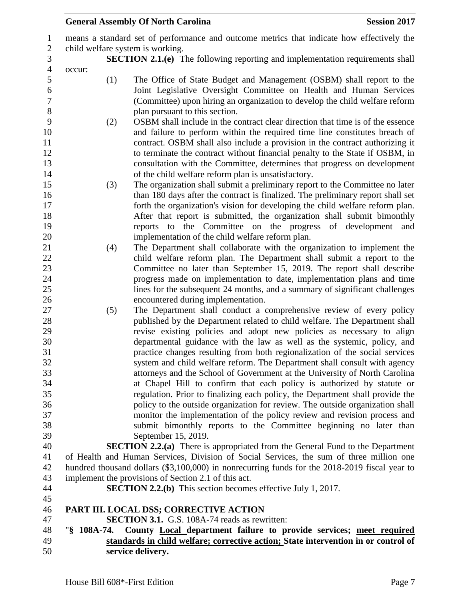|        |               | <b>General Assembly Of North Carolina</b>                                                                                                                                                                                                                                                                                                                                                                                                                                                                 | <b>Session 2017</b> |
|--------|---------------|-----------------------------------------------------------------------------------------------------------------------------------------------------------------------------------------------------------------------------------------------------------------------------------------------------------------------------------------------------------------------------------------------------------------------------------------------------------------------------------------------------------|---------------------|
|        |               | means a standard set of performance and outcome metrics that indicate how effectively the<br>child welfare system is working.<br><b>SECTION 2.1.(e)</b> The following reporting and implementation requirements shall                                                                                                                                                                                                                                                                                     |                     |
| occur: |               |                                                                                                                                                                                                                                                                                                                                                                                                                                                                                                           |                     |
|        | (1)           | The Office of State Budget and Management (OSBM) shall report to the<br>Joint Legislative Oversight Committee on Health and Human Services<br>(Committee) upon hiring an organization to develop the child welfare reform<br>plan pursuant to this section.                                                                                                                                                                                                                                               |                     |
|        | (2)           | OSBM shall include in the contract clear direction that time is of the essence<br>and failure to perform within the required time line constitutes breach of<br>contract. OSBM shall also include a provision in the contract authorizing it<br>to terminate the contract without financial penalty to the State if OSBM, in<br>consultation with the Committee, determines that progress on development                                                                                                  |                     |
|        | (3)           | of the child welfare reform plan is unsatisfactory.<br>The organization shall submit a preliminary report to the Committee no later<br>than 180 days after the contract is finalized. The preliminary report shall set<br>forth the organization's vision for developing the child welfare reform plan.<br>After that report is submitted, the organization shall submit bimonthly<br>reports to the Committee on the progress of development                                                             | and                 |
|        | (4)           | implementation of the child welfare reform plan.<br>The Department shall collaborate with the organization to implement the<br>child welfare reform plan. The Department shall submit a report to the<br>Committee no later than September 15, 2019. The report shall describe<br>progress made on implementation to date, implementation plans and time                                                                                                                                                  |                     |
|        | (5)           | lines for the subsequent 24 months, and a summary of significant challenges<br>encountered during implementation.<br>The Department shall conduct a comprehensive review of every policy<br>published by the Department related to child welfare. The Department shall<br>revise existing policies and adopt new policies as necessary to align<br>departmental guidance with the law as well as the systemic, policy, and<br>practice changes resulting from both regionalization of the social services |                     |
|        |               | system and child welfare reform. The Department shall consult with agency<br>attorneys and the School of Government at the University of North Carolina<br>at Chapel Hill to confirm that each policy is authorized by statute or                                                                                                                                                                                                                                                                         |                     |
|        |               | regulation. Prior to finalizing each policy, the Department shall provide the<br>policy to the outside organization for review. The outside organization shall<br>monitor the implementation of the policy review and revision process and<br>submit bimonthly reports to the Committee beginning no later than                                                                                                                                                                                           |                     |
|        |               | September 15, 2019.                                                                                                                                                                                                                                                                                                                                                                                                                                                                                       |                     |
|        |               | <b>SECTION 2.2.(a)</b> There is appropriated from the General Fund to the Department                                                                                                                                                                                                                                                                                                                                                                                                                      |                     |
|        |               | of Health and Human Services, Division of Social Services, the sum of three million one<br>hundred thousand dollars (\$3,100,000) in nonrecurring funds for the 2018-2019 fiscal year to                                                                                                                                                                                                                                                                                                                  |                     |
|        |               | implement the provisions of Section 2.1 of this act.<br><b>SECTION 2.2.(b)</b> This section becomes effective July 1, 2017.                                                                                                                                                                                                                                                                                                                                                                               |                     |
|        |               | PART III. LOCAL DSS; CORRECTIVE ACTION                                                                                                                                                                                                                                                                                                                                                                                                                                                                    |                     |
|        |               | <b>SECTION 3.1.</b> G.S. 108A-74 reads as rewritten:                                                                                                                                                                                                                                                                                                                                                                                                                                                      |                     |
|        | $"§$ 108A-74. | County-Local department failure to provide services; meet required                                                                                                                                                                                                                                                                                                                                                                                                                                        |                     |
|        |               | standards in child welfare; corrective action; State intervention in or control of                                                                                                                                                                                                                                                                                                                                                                                                                        |                     |
|        |               | service delivery.                                                                                                                                                                                                                                                                                                                                                                                                                                                                                         |                     |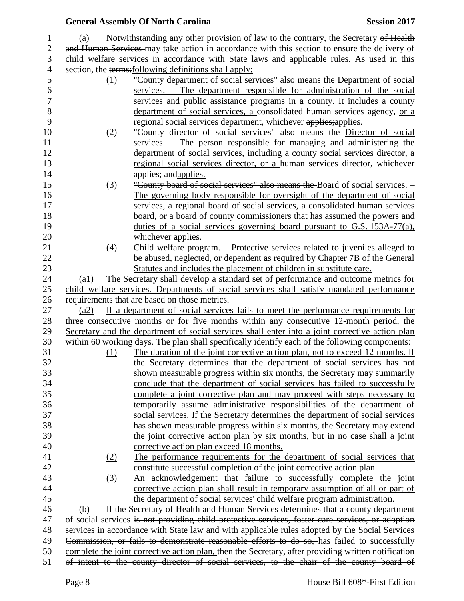|                  |                                                                                             | <b>General Assembly Of North Carolina</b>                                                                                                  | <b>Session 2017</b> |  |
|------------------|---------------------------------------------------------------------------------------------|--------------------------------------------------------------------------------------------------------------------------------------------|---------------------|--|
| 1                | (a)                                                                                         | Notwithstanding any other provision of law to the contrary, the Secretary of Health                                                        |                     |  |
| $\mathfrak{2}$   |                                                                                             | and Human Services may take action in accordance with this section to ensure the delivery of                                               |                     |  |
| 3                |                                                                                             | child welfare services in accordance with State laws and applicable rules. As used in this                                                 |                     |  |
| $\overline{4}$   |                                                                                             | section, the terms: following definitions shall apply:                                                                                     |                     |  |
| 5                | (1)                                                                                         | "County department of social services" also means the Department of social                                                                 |                     |  |
| 6                |                                                                                             | services. – The department responsible for administration of the social                                                                    |                     |  |
| $\boldsymbol{7}$ |                                                                                             | services and public assistance programs in a county. It includes a county                                                                  |                     |  |
| 8                |                                                                                             | department of social services, a consolidated human services agency, or a                                                                  |                     |  |
| 9                |                                                                                             |                                                                                                                                            |                     |  |
| 10               |                                                                                             | regional social services department, whichever applies; applies.<br>"County director of social services" also means the Director of social |                     |  |
| 11               | (2)                                                                                         |                                                                                                                                            |                     |  |
|                  |                                                                                             | $s$ ervices. $-$ The person responsible for managing and administering the                                                                 |                     |  |
| 12               |                                                                                             | department of social services, including a county social services director, a                                                              |                     |  |
| 13               |                                                                                             | regional social services director, or a human services director, whichever                                                                 |                     |  |
| 14               |                                                                                             | applies; and applies.                                                                                                                      |                     |  |
| 15               | (3)                                                                                         | "County board of social services" also means the Board of social services. -                                                               |                     |  |
| 16               |                                                                                             | The governing body responsible for oversight of the department of social                                                                   |                     |  |
| 17               |                                                                                             | services, a regional board of social services, a consolidated human services                                                               |                     |  |
| 18               |                                                                                             | board, or a board of county commissioners that has assumed the powers and                                                                  |                     |  |
| 19               |                                                                                             | duties of a social services governing board pursuant to G.S. 153A-77(a),                                                                   |                     |  |
| 20               |                                                                                             | whichever applies.                                                                                                                         |                     |  |
| 21               | (4)                                                                                         | Child welfare program. – Protective services related to juveniles alleged to                                                               |                     |  |
| 22               |                                                                                             | be abused, neglected, or dependent as required by Chapter 7B of the General                                                                |                     |  |
| 23               |                                                                                             | Statutes and includes the placement of children in substitute care.                                                                        |                     |  |
| 24               | $\left( a1\right)$                                                                          | The Secretary shall develop a standard set of performance and outcome metrics for                                                          |                     |  |
| 25               |                                                                                             | child welfare services. Departments of social services shall satisfy mandated performance                                                  |                     |  |
| 26               |                                                                                             | requirements that are based on those metrics.                                                                                              |                     |  |
| 27               | (a2)                                                                                        | If a department of social services fails to meet the performance requirements for                                                          |                     |  |
| 28               |                                                                                             | three consecutive months or for five months within any consecutive 12-month period, the                                                    |                     |  |
| 29               |                                                                                             | Secretary and the department of social services shall enter into a joint corrective action plan                                            |                     |  |
| 30               |                                                                                             | within 60 working days. The plan shall specifically identify each of the following components:                                             |                     |  |
| 31               | (1)                                                                                         | The duration of the joint corrective action plan, not to exceed 12 months. If                                                              |                     |  |
| 32               |                                                                                             | the Secretary determines that the department of social services has not                                                                    |                     |  |
| 33               |                                                                                             | shown measurable progress within six months, the Secretary may summarily                                                                   |                     |  |
| 34               |                                                                                             | conclude that the department of social services has failed to successfully                                                                 |                     |  |
| 35               |                                                                                             | complete a joint corrective plan and may proceed with steps necessary to                                                                   |                     |  |
| 36               |                                                                                             | temporarily assume administrative responsibilities of the department of                                                                    |                     |  |
| 37               |                                                                                             | social services. If the Secretary determines the department of social services                                                             |                     |  |
| 38               |                                                                                             | has shown measurable progress within six months, the Secretary may extend                                                                  |                     |  |
| 39               |                                                                                             | the joint corrective action plan by six months, but in no case shall a joint                                                               |                     |  |
| 40               |                                                                                             | corrective action plan exceed 18 months.                                                                                                   |                     |  |
| 41               | (2)                                                                                         | The performance requirements for the department of social services that                                                                    |                     |  |
| 42               |                                                                                             | constitute successful completion of the joint corrective action plan.                                                                      |                     |  |
| 43               | (3)                                                                                         | An acknowledgement that failure to successfully complete the joint                                                                         |                     |  |
| 44               |                                                                                             | corrective action plan shall result in temporary assumption of all or part of                                                              |                     |  |
| 45               |                                                                                             | the department of social services' child welfare program administration.                                                                   |                     |  |
| 46               | (b)                                                                                         | If the Secretary of Health and Human Services determines that a county-department                                                          |                     |  |
| 47               |                                                                                             | of social services is not providing child protective services, foster care services, or adoption                                           |                     |  |
| 48               |                                                                                             | services in accordance with State law and with applicable rules adopted by the Social Services                                             |                     |  |
| 49               | Commission, or fails to demonstrate reasonable efforts to do so, has failed to successfully |                                                                                                                                            |                     |  |
| 50               |                                                                                             | complete the joint corrective action plan, then the Secretary, after providing written notification                                        |                     |  |
| 51               |                                                                                             | of intent to the county director of social services, to the chair of the county board of                                                   |                     |  |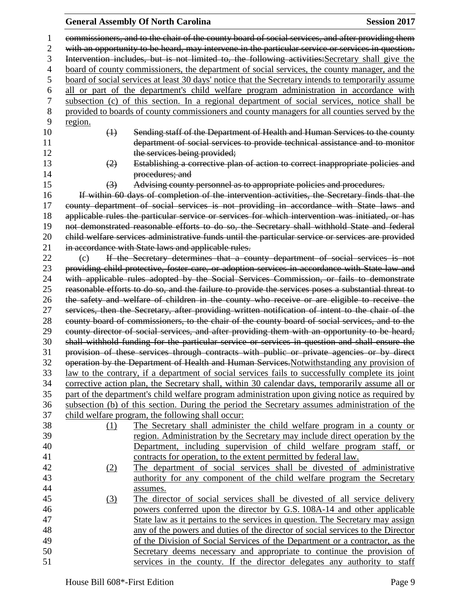### **General Assembly Of North Carolina Session 2017**

 commissioners, and to the chair of the county board of social services, and after providing them 2 with an opportunity to be heard, may intervene in the particular service or services in question. Intervention includes, but is not limited to, the following activities:Secretary shall give the board of county commissioners, the department of social services, the county manager, and the board of social services at least 30 days' notice that the Secretary intends to temporarily assume all or part of the department's child welfare program administration in accordance with subsection (c) of this section. In a regional department of social services, notice shall be provided to boards of county commissioners and county managers for all counties served by the region. **10 10 Command Sending staff of the Department of Health and Human Services to the county**  department of social services to provide technical assistance and to monitor 12 the services being provided; (2) Establishing a corrective plan of action to correct inappropriate policies and **procedures**; and (3) Advising county personnel as to appropriate policies and procedures. If within 60 days of completion of the intervention activities, the Secretary finds that the county department of social services is not providing in accordance with State laws and applicable rules the particular service or services for which intervention was initiated, or has not demonstrated reasonable efforts to do so, the Secretary shall withhold State and federal child welfare services administrative funds until the particular service or services are provided 21 in accordance with State laws and applicable rules. (c) If the Secretary determines that a county department of social services is not providing child protective, foster care, or adoption services in accordance with State law and with applicable rules adopted by the Social Services Commission, or fails to demonstrate reasonable efforts to do so, and the failure to provide the services poses a substantial threat to the safety and welfare of children in the county who receive or are eligible to receive the services, then the Secretary, after providing written notification of intent to the chair of the county board of commissioners, to the chair of the county board of social services, and to the county director of social services, and after providing them with an opportunity to be heard, shall withhold funding for the particular service or services in question and shall ensure the provision of these services through contracts with public or private agencies or by direct 32 operation by the Department of Health and Human Services. Notwithstanding any provision of law to the contrary, if a department of social services fails to successfully complete its joint corrective action plan, the Secretary shall, within 30 calendar days, temporarily assume all or part of the department's child welfare program administration upon giving notice as required by subsection (b) of this section. During the period the Secretary assumes administration of the child welfare program, the following shall occur: (1) The Secretary shall administer the child welfare program in a county or region. Administration by the Secretary may include direct operation by the Department, including supervision of child welfare program staff, or contracts for operation, to the extent permitted by federal law. (2) The department of social services shall be divested of administrative 43 authority for any component of the child welfare program the Secretary assumes. (3) The director of social services shall be divested of all service delivery powers conferred upon the director by G.S. 108A-14 and other applicable State law as it pertains to the services in question. The Secretary may assign any of the powers and duties of the director of social services to the Director of the Division of Social Services of the Department or a contractor, as the Secretary deems necessary and appropriate to continue the provision of services in the county. If the director delegates any authority to staff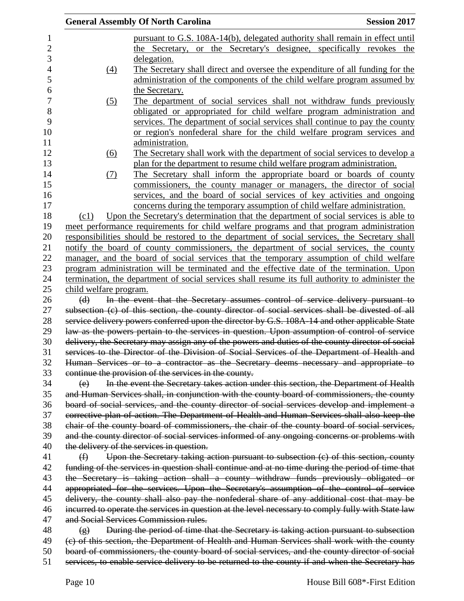| pursuant to G.S. 108A-14(b), delegated authority shall remain in effect until<br>the Secretary, or the Secretary's designee, specifically revokes the<br>delegation.<br>The Secretary shall direct and oversee the expenditure of all funding for the<br>$\underline{(4)}$<br>administration of the components of the child welfare program assumed by<br>the Secretary.<br>The department of social services shall not withdraw funds previously<br>(5)<br>obligated or appropriated for child welfare program administration and<br>services. The department of social services shall continue to pay the county<br>or region's nonfederal share for the child welfare program services and<br>administration.<br>The Secretary shall work with the department of social services to develop a<br>(6)<br>plan for the department to resume child welfare program administration.<br>The Secretary shall inform the appropriate board or boards of county<br>(7)<br>commissioners, the county manager or managers, the director of social<br>services, and the board of social services of key activities and ongoing<br>concerns during the temporary assumption of child welfare administration.<br>Upon the Secretary's determination that the department of social services is able to<br>(c1)<br>meet performance requirements for child welfare programs and that program administration<br>responsibilities should be restored to the department of social services, the Secretary shall<br>notify the board of county commissioners, the department of social services, the county<br>manager, and the board of social services that the temporary assumption of child welfare<br>program administration will be terminated and the effective date of the termination. Upon<br>termination, the department of social services shall resume its full authority to administer the<br>child welfare program.<br>In the event that the Secretary assumes control of service delivery pursuant to<br>(d)<br>subsection (c) of this section, the county director of social services shall be divested of all<br>service delivery powers conferred upon the director by G.S. 108A-14 and other applicable State<br>law as the powers pertain to the services in question. Upon assumption of control of service<br>delivery, the Secretary may assign any of the powers and duties of the county director of social<br>services to the Director of the Division of Social Services of the Department of Health and<br>Human Services or to a contractor as the Secretary deems necessary and appropriate to<br>continue the provision of the services in the county.<br>In the event the Secretary takes action under this section, the Department of Health<br>(e)<br>and Human Services shall, in conjunction with the county board of commissioners, the county<br>board of social services, and the county director of social services develop and implement a<br>corrective plan of action. The Department of Health and Human Services shall also keep the<br>chair of the county board of commissioners, the chair of the county board of social services,<br>and the county director of social services informed of any ongoing concerns or problems with<br>the delivery of the services in question.<br>Upon the Secretary taking action pursuant to subsection (c) of this section, county<br>$\bigoplus$<br>funding of the services in question shall continue and at no time during the period of time that<br>the Secretary is taking action shall a county withdraw funds previously obligated or<br>appropriated for the services. Upon the Secretary's assumption of the control of service<br>delivery, the county shall also pay the nonfederal share of any additional cost that may be<br>incurred to operate the services in question at the level necessary to comply fully with State law<br>and Social Services Commission rules.<br>During the period of time that the Secretary is taking action pursuant to subsection<br>$\circ$<br>(c) of this section, the Department of Health and Human Services shall work with the county<br>board of commissioners, the county board of social services, and the county director of social<br>services, to enable service delivery to be returned to the county if and when the Secretary has |  | <b>General Assembly Of North Carolina</b> | <b>Session 2017</b> |  |
|---------------------------------------------------------------------------------------------------------------------------------------------------------------------------------------------------------------------------------------------------------------------------------------------------------------------------------------------------------------------------------------------------------------------------------------------------------------------------------------------------------------------------------------------------------------------------------------------------------------------------------------------------------------------------------------------------------------------------------------------------------------------------------------------------------------------------------------------------------------------------------------------------------------------------------------------------------------------------------------------------------------------------------------------------------------------------------------------------------------------------------------------------------------------------------------------------------------------------------------------------------------------------------------------------------------------------------------------------------------------------------------------------------------------------------------------------------------------------------------------------------------------------------------------------------------------------------------------------------------------------------------------------------------------------------------------------------------------------------------------------------------------------------------------------------------------------------------------------------------------------------------------------------------------------------------------------------------------------------------------------------------------------------------------------------------------------------------------------------------------------------------------------------------------------------------------------------------------------------------------------------------------------------------------------------------------------------------------------------------------------------------------------------------------------------------------------------------------------------------------------------------------------------------------------------------------------------------------------------------------------------------------------------------------------------------------------------------------------------------------------------------------------------------------------------------------------------------------------------------------------------------------------------------------------------------------------------------------------------------------------------------------------------------------------------------------------------------------------------------------------------------------------------------------------------------------------------------------------------------------------------------------------------------------------------------------------------------------------------------------------------------------------------------------------------------------------------------------------------------------------------------------------------------------------------------------------------------------------------------------------------------------------------------------------------------------------------------------------------------------------------------------------------------------------------------------------------------------------------------------------------------------------------------------------------------------------------------------------------------------------------------------------------------------------------------------------------------------------------------------------------------------------------------------------------------------------------------------------------------------------------------------------------------------------------------------------------------------------------------------|--|-------------------------------------------|---------------------|--|
|                                                                                                                                                                                                                                                                                                                                                                                                                                                                                                                                                                                                                                                                                                                                                                                                                                                                                                                                                                                                                                                                                                                                                                                                                                                                                                                                                                                                                                                                                                                                                                                                                                                                                                                                                                                                                                                                                                                                                                                                                                                                                                                                                                                                                                                                                                                                                                                                                                                                                                                                                                                                                                                                                                                                                                                                                                                                                                                                                                                                                                                                                                                                                                                                                                                                                                                                                                                                                                                                                                                                                                                                                                                                                                                                                                                                                                                                                                                                                                                                                                                                                                                                                                                                                                                                                                                                                                     |  |                                           |                     |  |
|                                                                                                                                                                                                                                                                                                                                                                                                                                                                                                                                                                                                                                                                                                                                                                                                                                                                                                                                                                                                                                                                                                                                                                                                                                                                                                                                                                                                                                                                                                                                                                                                                                                                                                                                                                                                                                                                                                                                                                                                                                                                                                                                                                                                                                                                                                                                                                                                                                                                                                                                                                                                                                                                                                                                                                                                                                                                                                                                                                                                                                                                                                                                                                                                                                                                                                                                                                                                                                                                                                                                                                                                                                                                                                                                                                                                                                                                                                                                                                                                                                                                                                                                                                                                                                                                                                                                                                     |  |                                           |                     |  |
|                                                                                                                                                                                                                                                                                                                                                                                                                                                                                                                                                                                                                                                                                                                                                                                                                                                                                                                                                                                                                                                                                                                                                                                                                                                                                                                                                                                                                                                                                                                                                                                                                                                                                                                                                                                                                                                                                                                                                                                                                                                                                                                                                                                                                                                                                                                                                                                                                                                                                                                                                                                                                                                                                                                                                                                                                                                                                                                                                                                                                                                                                                                                                                                                                                                                                                                                                                                                                                                                                                                                                                                                                                                                                                                                                                                                                                                                                                                                                                                                                                                                                                                                                                                                                                                                                                                                                                     |  |                                           |                     |  |
|                                                                                                                                                                                                                                                                                                                                                                                                                                                                                                                                                                                                                                                                                                                                                                                                                                                                                                                                                                                                                                                                                                                                                                                                                                                                                                                                                                                                                                                                                                                                                                                                                                                                                                                                                                                                                                                                                                                                                                                                                                                                                                                                                                                                                                                                                                                                                                                                                                                                                                                                                                                                                                                                                                                                                                                                                                                                                                                                                                                                                                                                                                                                                                                                                                                                                                                                                                                                                                                                                                                                                                                                                                                                                                                                                                                                                                                                                                                                                                                                                                                                                                                                                                                                                                                                                                                                                                     |  |                                           |                     |  |
|                                                                                                                                                                                                                                                                                                                                                                                                                                                                                                                                                                                                                                                                                                                                                                                                                                                                                                                                                                                                                                                                                                                                                                                                                                                                                                                                                                                                                                                                                                                                                                                                                                                                                                                                                                                                                                                                                                                                                                                                                                                                                                                                                                                                                                                                                                                                                                                                                                                                                                                                                                                                                                                                                                                                                                                                                                                                                                                                                                                                                                                                                                                                                                                                                                                                                                                                                                                                                                                                                                                                                                                                                                                                                                                                                                                                                                                                                                                                                                                                                                                                                                                                                                                                                                                                                                                                                                     |  |                                           |                     |  |
|                                                                                                                                                                                                                                                                                                                                                                                                                                                                                                                                                                                                                                                                                                                                                                                                                                                                                                                                                                                                                                                                                                                                                                                                                                                                                                                                                                                                                                                                                                                                                                                                                                                                                                                                                                                                                                                                                                                                                                                                                                                                                                                                                                                                                                                                                                                                                                                                                                                                                                                                                                                                                                                                                                                                                                                                                                                                                                                                                                                                                                                                                                                                                                                                                                                                                                                                                                                                                                                                                                                                                                                                                                                                                                                                                                                                                                                                                                                                                                                                                                                                                                                                                                                                                                                                                                                                                                     |  |                                           |                     |  |
|                                                                                                                                                                                                                                                                                                                                                                                                                                                                                                                                                                                                                                                                                                                                                                                                                                                                                                                                                                                                                                                                                                                                                                                                                                                                                                                                                                                                                                                                                                                                                                                                                                                                                                                                                                                                                                                                                                                                                                                                                                                                                                                                                                                                                                                                                                                                                                                                                                                                                                                                                                                                                                                                                                                                                                                                                                                                                                                                                                                                                                                                                                                                                                                                                                                                                                                                                                                                                                                                                                                                                                                                                                                                                                                                                                                                                                                                                                                                                                                                                                                                                                                                                                                                                                                                                                                                                                     |  |                                           |                     |  |
|                                                                                                                                                                                                                                                                                                                                                                                                                                                                                                                                                                                                                                                                                                                                                                                                                                                                                                                                                                                                                                                                                                                                                                                                                                                                                                                                                                                                                                                                                                                                                                                                                                                                                                                                                                                                                                                                                                                                                                                                                                                                                                                                                                                                                                                                                                                                                                                                                                                                                                                                                                                                                                                                                                                                                                                                                                                                                                                                                                                                                                                                                                                                                                                                                                                                                                                                                                                                                                                                                                                                                                                                                                                                                                                                                                                                                                                                                                                                                                                                                                                                                                                                                                                                                                                                                                                                                                     |  |                                           |                     |  |
|                                                                                                                                                                                                                                                                                                                                                                                                                                                                                                                                                                                                                                                                                                                                                                                                                                                                                                                                                                                                                                                                                                                                                                                                                                                                                                                                                                                                                                                                                                                                                                                                                                                                                                                                                                                                                                                                                                                                                                                                                                                                                                                                                                                                                                                                                                                                                                                                                                                                                                                                                                                                                                                                                                                                                                                                                                                                                                                                                                                                                                                                                                                                                                                                                                                                                                                                                                                                                                                                                                                                                                                                                                                                                                                                                                                                                                                                                                                                                                                                                                                                                                                                                                                                                                                                                                                                                                     |  |                                           |                     |  |
|                                                                                                                                                                                                                                                                                                                                                                                                                                                                                                                                                                                                                                                                                                                                                                                                                                                                                                                                                                                                                                                                                                                                                                                                                                                                                                                                                                                                                                                                                                                                                                                                                                                                                                                                                                                                                                                                                                                                                                                                                                                                                                                                                                                                                                                                                                                                                                                                                                                                                                                                                                                                                                                                                                                                                                                                                                                                                                                                                                                                                                                                                                                                                                                                                                                                                                                                                                                                                                                                                                                                                                                                                                                                                                                                                                                                                                                                                                                                                                                                                                                                                                                                                                                                                                                                                                                                                                     |  |                                           |                     |  |
|                                                                                                                                                                                                                                                                                                                                                                                                                                                                                                                                                                                                                                                                                                                                                                                                                                                                                                                                                                                                                                                                                                                                                                                                                                                                                                                                                                                                                                                                                                                                                                                                                                                                                                                                                                                                                                                                                                                                                                                                                                                                                                                                                                                                                                                                                                                                                                                                                                                                                                                                                                                                                                                                                                                                                                                                                                                                                                                                                                                                                                                                                                                                                                                                                                                                                                                                                                                                                                                                                                                                                                                                                                                                                                                                                                                                                                                                                                                                                                                                                                                                                                                                                                                                                                                                                                                                                                     |  |                                           |                     |  |
|                                                                                                                                                                                                                                                                                                                                                                                                                                                                                                                                                                                                                                                                                                                                                                                                                                                                                                                                                                                                                                                                                                                                                                                                                                                                                                                                                                                                                                                                                                                                                                                                                                                                                                                                                                                                                                                                                                                                                                                                                                                                                                                                                                                                                                                                                                                                                                                                                                                                                                                                                                                                                                                                                                                                                                                                                                                                                                                                                                                                                                                                                                                                                                                                                                                                                                                                                                                                                                                                                                                                                                                                                                                                                                                                                                                                                                                                                                                                                                                                                                                                                                                                                                                                                                                                                                                                                                     |  |                                           |                     |  |
|                                                                                                                                                                                                                                                                                                                                                                                                                                                                                                                                                                                                                                                                                                                                                                                                                                                                                                                                                                                                                                                                                                                                                                                                                                                                                                                                                                                                                                                                                                                                                                                                                                                                                                                                                                                                                                                                                                                                                                                                                                                                                                                                                                                                                                                                                                                                                                                                                                                                                                                                                                                                                                                                                                                                                                                                                                                                                                                                                                                                                                                                                                                                                                                                                                                                                                                                                                                                                                                                                                                                                                                                                                                                                                                                                                                                                                                                                                                                                                                                                                                                                                                                                                                                                                                                                                                                                                     |  |                                           |                     |  |
|                                                                                                                                                                                                                                                                                                                                                                                                                                                                                                                                                                                                                                                                                                                                                                                                                                                                                                                                                                                                                                                                                                                                                                                                                                                                                                                                                                                                                                                                                                                                                                                                                                                                                                                                                                                                                                                                                                                                                                                                                                                                                                                                                                                                                                                                                                                                                                                                                                                                                                                                                                                                                                                                                                                                                                                                                                                                                                                                                                                                                                                                                                                                                                                                                                                                                                                                                                                                                                                                                                                                                                                                                                                                                                                                                                                                                                                                                                                                                                                                                                                                                                                                                                                                                                                                                                                                                                     |  |                                           |                     |  |
|                                                                                                                                                                                                                                                                                                                                                                                                                                                                                                                                                                                                                                                                                                                                                                                                                                                                                                                                                                                                                                                                                                                                                                                                                                                                                                                                                                                                                                                                                                                                                                                                                                                                                                                                                                                                                                                                                                                                                                                                                                                                                                                                                                                                                                                                                                                                                                                                                                                                                                                                                                                                                                                                                                                                                                                                                                                                                                                                                                                                                                                                                                                                                                                                                                                                                                                                                                                                                                                                                                                                                                                                                                                                                                                                                                                                                                                                                                                                                                                                                                                                                                                                                                                                                                                                                                                                                                     |  |                                           |                     |  |
|                                                                                                                                                                                                                                                                                                                                                                                                                                                                                                                                                                                                                                                                                                                                                                                                                                                                                                                                                                                                                                                                                                                                                                                                                                                                                                                                                                                                                                                                                                                                                                                                                                                                                                                                                                                                                                                                                                                                                                                                                                                                                                                                                                                                                                                                                                                                                                                                                                                                                                                                                                                                                                                                                                                                                                                                                                                                                                                                                                                                                                                                                                                                                                                                                                                                                                                                                                                                                                                                                                                                                                                                                                                                                                                                                                                                                                                                                                                                                                                                                                                                                                                                                                                                                                                                                                                                                                     |  |                                           |                     |  |
|                                                                                                                                                                                                                                                                                                                                                                                                                                                                                                                                                                                                                                                                                                                                                                                                                                                                                                                                                                                                                                                                                                                                                                                                                                                                                                                                                                                                                                                                                                                                                                                                                                                                                                                                                                                                                                                                                                                                                                                                                                                                                                                                                                                                                                                                                                                                                                                                                                                                                                                                                                                                                                                                                                                                                                                                                                                                                                                                                                                                                                                                                                                                                                                                                                                                                                                                                                                                                                                                                                                                                                                                                                                                                                                                                                                                                                                                                                                                                                                                                                                                                                                                                                                                                                                                                                                                                                     |  |                                           |                     |  |
|                                                                                                                                                                                                                                                                                                                                                                                                                                                                                                                                                                                                                                                                                                                                                                                                                                                                                                                                                                                                                                                                                                                                                                                                                                                                                                                                                                                                                                                                                                                                                                                                                                                                                                                                                                                                                                                                                                                                                                                                                                                                                                                                                                                                                                                                                                                                                                                                                                                                                                                                                                                                                                                                                                                                                                                                                                                                                                                                                                                                                                                                                                                                                                                                                                                                                                                                                                                                                                                                                                                                                                                                                                                                                                                                                                                                                                                                                                                                                                                                                                                                                                                                                                                                                                                                                                                                                                     |  |                                           |                     |  |
|                                                                                                                                                                                                                                                                                                                                                                                                                                                                                                                                                                                                                                                                                                                                                                                                                                                                                                                                                                                                                                                                                                                                                                                                                                                                                                                                                                                                                                                                                                                                                                                                                                                                                                                                                                                                                                                                                                                                                                                                                                                                                                                                                                                                                                                                                                                                                                                                                                                                                                                                                                                                                                                                                                                                                                                                                                                                                                                                                                                                                                                                                                                                                                                                                                                                                                                                                                                                                                                                                                                                                                                                                                                                                                                                                                                                                                                                                                                                                                                                                                                                                                                                                                                                                                                                                                                                                                     |  |                                           |                     |  |
|                                                                                                                                                                                                                                                                                                                                                                                                                                                                                                                                                                                                                                                                                                                                                                                                                                                                                                                                                                                                                                                                                                                                                                                                                                                                                                                                                                                                                                                                                                                                                                                                                                                                                                                                                                                                                                                                                                                                                                                                                                                                                                                                                                                                                                                                                                                                                                                                                                                                                                                                                                                                                                                                                                                                                                                                                                                                                                                                                                                                                                                                                                                                                                                                                                                                                                                                                                                                                                                                                                                                                                                                                                                                                                                                                                                                                                                                                                                                                                                                                                                                                                                                                                                                                                                                                                                                                                     |  |                                           |                     |  |
|                                                                                                                                                                                                                                                                                                                                                                                                                                                                                                                                                                                                                                                                                                                                                                                                                                                                                                                                                                                                                                                                                                                                                                                                                                                                                                                                                                                                                                                                                                                                                                                                                                                                                                                                                                                                                                                                                                                                                                                                                                                                                                                                                                                                                                                                                                                                                                                                                                                                                                                                                                                                                                                                                                                                                                                                                                                                                                                                                                                                                                                                                                                                                                                                                                                                                                                                                                                                                                                                                                                                                                                                                                                                                                                                                                                                                                                                                                                                                                                                                                                                                                                                                                                                                                                                                                                                                                     |  |                                           |                     |  |
|                                                                                                                                                                                                                                                                                                                                                                                                                                                                                                                                                                                                                                                                                                                                                                                                                                                                                                                                                                                                                                                                                                                                                                                                                                                                                                                                                                                                                                                                                                                                                                                                                                                                                                                                                                                                                                                                                                                                                                                                                                                                                                                                                                                                                                                                                                                                                                                                                                                                                                                                                                                                                                                                                                                                                                                                                                                                                                                                                                                                                                                                                                                                                                                                                                                                                                                                                                                                                                                                                                                                                                                                                                                                                                                                                                                                                                                                                                                                                                                                                                                                                                                                                                                                                                                                                                                                                                     |  |                                           |                     |  |
|                                                                                                                                                                                                                                                                                                                                                                                                                                                                                                                                                                                                                                                                                                                                                                                                                                                                                                                                                                                                                                                                                                                                                                                                                                                                                                                                                                                                                                                                                                                                                                                                                                                                                                                                                                                                                                                                                                                                                                                                                                                                                                                                                                                                                                                                                                                                                                                                                                                                                                                                                                                                                                                                                                                                                                                                                                                                                                                                                                                                                                                                                                                                                                                                                                                                                                                                                                                                                                                                                                                                                                                                                                                                                                                                                                                                                                                                                                                                                                                                                                                                                                                                                                                                                                                                                                                                                                     |  |                                           |                     |  |
|                                                                                                                                                                                                                                                                                                                                                                                                                                                                                                                                                                                                                                                                                                                                                                                                                                                                                                                                                                                                                                                                                                                                                                                                                                                                                                                                                                                                                                                                                                                                                                                                                                                                                                                                                                                                                                                                                                                                                                                                                                                                                                                                                                                                                                                                                                                                                                                                                                                                                                                                                                                                                                                                                                                                                                                                                                                                                                                                                                                                                                                                                                                                                                                                                                                                                                                                                                                                                                                                                                                                                                                                                                                                                                                                                                                                                                                                                                                                                                                                                                                                                                                                                                                                                                                                                                                                                                     |  |                                           |                     |  |
|                                                                                                                                                                                                                                                                                                                                                                                                                                                                                                                                                                                                                                                                                                                                                                                                                                                                                                                                                                                                                                                                                                                                                                                                                                                                                                                                                                                                                                                                                                                                                                                                                                                                                                                                                                                                                                                                                                                                                                                                                                                                                                                                                                                                                                                                                                                                                                                                                                                                                                                                                                                                                                                                                                                                                                                                                                                                                                                                                                                                                                                                                                                                                                                                                                                                                                                                                                                                                                                                                                                                                                                                                                                                                                                                                                                                                                                                                                                                                                                                                                                                                                                                                                                                                                                                                                                                                                     |  |                                           |                     |  |
|                                                                                                                                                                                                                                                                                                                                                                                                                                                                                                                                                                                                                                                                                                                                                                                                                                                                                                                                                                                                                                                                                                                                                                                                                                                                                                                                                                                                                                                                                                                                                                                                                                                                                                                                                                                                                                                                                                                                                                                                                                                                                                                                                                                                                                                                                                                                                                                                                                                                                                                                                                                                                                                                                                                                                                                                                                                                                                                                                                                                                                                                                                                                                                                                                                                                                                                                                                                                                                                                                                                                                                                                                                                                                                                                                                                                                                                                                                                                                                                                                                                                                                                                                                                                                                                                                                                                                                     |  |                                           |                     |  |
|                                                                                                                                                                                                                                                                                                                                                                                                                                                                                                                                                                                                                                                                                                                                                                                                                                                                                                                                                                                                                                                                                                                                                                                                                                                                                                                                                                                                                                                                                                                                                                                                                                                                                                                                                                                                                                                                                                                                                                                                                                                                                                                                                                                                                                                                                                                                                                                                                                                                                                                                                                                                                                                                                                                                                                                                                                                                                                                                                                                                                                                                                                                                                                                                                                                                                                                                                                                                                                                                                                                                                                                                                                                                                                                                                                                                                                                                                                                                                                                                                                                                                                                                                                                                                                                                                                                                                                     |  |                                           |                     |  |
|                                                                                                                                                                                                                                                                                                                                                                                                                                                                                                                                                                                                                                                                                                                                                                                                                                                                                                                                                                                                                                                                                                                                                                                                                                                                                                                                                                                                                                                                                                                                                                                                                                                                                                                                                                                                                                                                                                                                                                                                                                                                                                                                                                                                                                                                                                                                                                                                                                                                                                                                                                                                                                                                                                                                                                                                                                                                                                                                                                                                                                                                                                                                                                                                                                                                                                                                                                                                                                                                                                                                                                                                                                                                                                                                                                                                                                                                                                                                                                                                                                                                                                                                                                                                                                                                                                                                                                     |  |                                           |                     |  |
|                                                                                                                                                                                                                                                                                                                                                                                                                                                                                                                                                                                                                                                                                                                                                                                                                                                                                                                                                                                                                                                                                                                                                                                                                                                                                                                                                                                                                                                                                                                                                                                                                                                                                                                                                                                                                                                                                                                                                                                                                                                                                                                                                                                                                                                                                                                                                                                                                                                                                                                                                                                                                                                                                                                                                                                                                                                                                                                                                                                                                                                                                                                                                                                                                                                                                                                                                                                                                                                                                                                                                                                                                                                                                                                                                                                                                                                                                                                                                                                                                                                                                                                                                                                                                                                                                                                                                                     |  |                                           |                     |  |
|                                                                                                                                                                                                                                                                                                                                                                                                                                                                                                                                                                                                                                                                                                                                                                                                                                                                                                                                                                                                                                                                                                                                                                                                                                                                                                                                                                                                                                                                                                                                                                                                                                                                                                                                                                                                                                                                                                                                                                                                                                                                                                                                                                                                                                                                                                                                                                                                                                                                                                                                                                                                                                                                                                                                                                                                                                                                                                                                                                                                                                                                                                                                                                                                                                                                                                                                                                                                                                                                                                                                                                                                                                                                                                                                                                                                                                                                                                                                                                                                                                                                                                                                                                                                                                                                                                                                                                     |  |                                           |                     |  |
|                                                                                                                                                                                                                                                                                                                                                                                                                                                                                                                                                                                                                                                                                                                                                                                                                                                                                                                                                                                                                                                                                                                                                                                                                                                                                                                                                                                                                                                                                                                                                                                                                                                                                                                                                                                                                                                                                                                                                                                                                                                                                                                                                                                                                                                                                                                                                                                                                                                                                                                                                                                                                                                                                                                                                                                                                                                                                                                                                                                                                                                                                                                                                                                                                                                                                                                                                                                                                                                                                                                                                                                                                                                                                                                                                                                                                                                                                                                                                                                                                                                                                                                                                                                                                                                                                                                                                                     |  |                                           |                     |  |
|                                                                                                                                                                                                                                                                                                                                                                                                                                                                                                                                                                                                                                                                                                                                                                                                                                                                                                                                                                                                                                                                                                                                                                                                                                                                                                                                                                                                                                                                                                                                                                                                                                                                                                                                                                                                                                                                                                                                                                                                                                                                                                                                                                                                                                                                                                                                                                                                                                                                                                                                                                                                                                                                                                                                                                                                                                                                                                                                                                                                                                                                                                                                                                                                                                                                                                                                                                                                                                                                                                                                                                                                                                                                                                                                                                                                                                                                                                                                                                                                                                                                                                                                                                                                                                                                                                                                                                     |  |                                           |                     |  |
|                                                                                                                                                                                                                                                                                                                                                                                                                                                                                                                                                                                                                                                                                                                                                                                                                                                                                                                                                                                                                                                                                                                                                                                                                                                                                                                                                                                                                                                                                                                                                                                                                                                                                                                                                                                                                                                                                                                                                                                                                                                                                                                                                                                                                                                                                                                                                                                                                                                                                                                                                                                                                                                                                                                                                                                                                                                                                                                                                                                                                                                                                                                                                                                                                                                                                                                                                                                                                                                                                                                                                                                                                                                                                                                                                                                                                                                                                                                                                                                                                                                                                                                                                                                                                                                                                                                                                                     |  |                                           |                     |  |
|                                                                                                                                                                                                                                                                                                                                                                                                                                                                                                                                                                                                                                                                                                                                                                                                                                                                                                                                                                                                                                                                                                                                                                                                                                                                                                                                                                                                                                                                                                                                                                                                                                                                                                                                                                                                                                                                                                                                                                                                                                                                                                                                                                                                                                                                                                                                                                                                                                                                                                                                                                                                                                                                                                                                                                                                                                                                                                                                                                                                                                                                                                                                                                                                                                                                                                                                                                                                                                                                                                                                                                                                                                                                                                                                                                                                                                                                                                                                                                                                                                                                                                                                                                                                                                                                                                                                                                     |  |                                           |                     |  |
|                                                                                                                                                                                                                                                                                                                                                                                                                                                                                                                                                                                                                                                                                                                                                                                                                                                                                                                                                                                                                                                                                                                                                                                                                                                                                                                                                                                                                                                                                                                                                                                                                                                                                                                                                                                                                                                                                                                                                                                                                                                                                                                                                                                                                                                                                                                                                                                                                                                                                                                                                                                                                                                                                                                                                                                                                                                                                                                                                                                                                                                                                                                                                                                                                                                                                                                                                                                                                                                                                                                                                                                                                                                                                                                                                                                                                                                                                                                                                                                                                                                                                                                                                                                                                                                                                                                                                                     |  |                                           |                     |  |
|                                                                                                                                                                                                                                                                                                                                                                                                                                                                                                                                                                                                                                                                                                                                                                                                                                                                                                                                                                                                                                                                                                                                                                                                                                                                                                                                                                                                                                                                                                                                                                                                                                                                                                                                                                                                                                                                                                                                                                                                                                                                                                                                                                                                                                                                                                                                                                                                                                                                                                                                                                                                                                                                                                                                                                                                                                                                                                                                                                                                                                                                                                                                                                                                                                                                                                                                                                                                                                                                                                                                                                                                                                                                                                                                                                                                                                                                                                                                                                                                                                                                                                                                                                                                                                                                                                                                                                     |  |                                           |                     |  |
|                                                                                                                                                                                                                                                                                                                                                                                                                                                                                                                                                                                                                                                                                                                                                                                                                                                                                                                                                                                                                                                                                                                                                                                                                                                                                                                                                                                                                                                                                                                                                                                                                                                                                                                                                                                                                                                                                                                                                                                                                                                                                                                                                                                                                                                                                                                                                                                                                                                                                                                                                                                                                                                                                                                                                                                                                                                                                                                                                                                                                                                                                                                                                                                                                                                                                                                                                                                                                                                                                                                                                                                                                                                                                                                                                                                                                                                                                                                                                                                                                                                                                                                                                                                                                                                                                                                                                                     |  |                                           |                     |  |
|                                                                                                                                                                                                                                                                                                                                                                                                                                                                                                                                                                                                                                                                                                                                                                                                                                                                                                                                                                                                                                                                                                                                                                                                                                                                                                                                                                                                                                                                                                                                                                                                                                                                                                                                                                                                                                                                                                                                                                                                                                                                                                                                                                                                                                                                                                                                                                                                                                                                                                                                                                                                                                                                                                                                                                                                                                                                                                                                                                                                                                                                                                                                                                                                                                                                                                                                                                                                                                                                                                                                                                                                                                                                                                                                                                                                                                                                                                                                                                                                                                                                                                                                                                                                                                                                                                                                                                     |  |                                           |                     |  |
|                                                                                                                                                                                                                                                                                                                                                                                                                                                                                                                                                                                                                                                                                                                                                                                                                                                                                                                                                                                                                                                                                                                                                                                                                                                                                                                                                                                                                                                                                                                                                                                                                                                                                                                                                                                                                                                                                                                                                                                                                                                                                                                                                                                                                                                                                                                                                                                                                                                                                                                                                                                                                                                                                                                                                                                                                                                                                                                                                                                                                                                                                                                                                                                                                                                                                                                                                                                                                                                                                                                                                                                                                                                                                                                                                                                                                                                                                                                                                                                                                                                                                                                                                                                                                                                                                                                                                                     |  |                                           |                     |  |
|                                                                                                                                                                                                                                                                                                                                                                                                                                                                                                                                                                                                                                                                                                                                                                                                                                                                                                                                                                                                                                                                                                                                                                                                                                                                                                                                                                                                                                                                                                                                                                                                                                                                                                                                                                                                                                                                                                                                                                                                                                                                                                                                                                                                                                                                                                                                                                                                                                                                                                                                                                                                                                                                                                                                                                                                                                                                                                                                                                                                                                                                                                                                                                                                                                                                                                                                                                                                                                                                                                                                                                                                                                                                                                                                                                                                                                                                                                                                                                                                                                                                                                                                                                                                                                                                                                                                                                     |  |                                           |                     |  |
|                                                                                                                                                                                                                                                                                                                                                                                                                                                                                                                                                                                                                                                                                                                                                                                                                                                                                                                                                                                                                                                                                                                                                                                                                                                                                                                                                                                                                                                                                                                                                                                                                                                                                                                                                                                                                                                                                                                                                                                                                                                                                                                                                                                                                                                                                                                                                                                                                                                                                                                                                                                                                                                                                                                                                                                                                                                                                                                                                                                                                                                                                                                                                                                                                                                                                                                                                                                                                                                                                                                                                                                                                                                                                                                                                                                                                                                                                                                                                                                                                                                                                                                                                                                                                                                                                                                                                                     |  |                                           |                     |  |
|                                                                                                                                                                                                                                                                                                                                                                                                                                                                                                                                                                                                                                                                                                                                                                                                                                                                                                                                                                                                                                                                                                                                                                                                                                                                                                                                                                                                                                                                                                                                                                                                                                                                                                                                                                                                                                                                                                                                                                                                                                                                                                                                                                                                                                                                                                                                                                                                                                                                                                                                                                                                                                                                                                                                                                                                                                                                                                                                                                                                                                                                                                                                                                                                                                                                                                                                                                                                                                                                                                                                                                                                                                                                                                                                                                                                                                                                                                                                                                                                                                                                                                                                                                                                                                                                                                                                                                     |  |                                           |                     |  |
|                                                                                                                                                                                                                                                                                                                                                                                                                                                                                                                                                                                                                                                                                                                                                                                                                                                                                                                                                                                                                                                                                                                                                                                                                                                                                                                                                                                                                                                                                                                                                                                                                                                                                                                                                                                                                                                                                                                                                                                                                                                                                                                                                                                                                                                                                                                                                                                                                                                                                                                                                                                                                                                                                                                                                                                                                                                                                                                                                                                                                                                                                                                                                                                                                                                                                                                                                                                                                                                                                                                                                                                                                                                                                                                                                                                                                                                                                                                                                                                                                                                                                                                                                                                                                                                                                                                                                                     |  |                                           |                     |  |
|                                                                                                                                                                                                                                                                                                                                                                                                                                                                                                                                                                                                                                                                                                                                                                                                                                                                                                                                                                                                                                                                                                                                                                                                                                                                                                                                                                                                                                                                                                                                                                                                                                                                                                                                                                                                                                                                                                                                                                                                                                                                                                                                                                                                                                                                                                                                                                                                                                                                                                                                                                                                                                                                                                                                                                                                                                                                                                                                                                                                                                                                                                                                                                                                                                                                                                                                                                                                                                                                                                                                                                                                                                                                                                                                                                                                                                                                                                                                                                                                                                                                                                                                                                                                                                                                                                                                                                     |  |                                           |                     |  |
|                                                                                                                                                                                                                                                                                                                                                                                                                                                                                                                                                                                                                                                                                                                                                                                                                                                                                                                                                                                                                                                                                                                                                                                                                                                                                                                                                                                                                                                                                                                                                                                                                                                                                                                                                                                                                                                                                                                                                                                                                                                                                                                                                                                                                                                                                                                                                                                                                                                                                                                                                                                                                                                                                                                                                                                                                                                                                                                                                                                                                                                                                                                                                                                                                                                                                                                                                                                                                                                                                                                                                                                                                                                                                                                                                                                                                                                                                                                                                                                                                                                                                                                                                                                                                                                                                                                                                                     |  |                                           |                     |  |
|                                                                                                                                                                                                                                                                                                                                                                                                                                                                                                                                                                                                                                                                                                                                                                                                                                                                                                                                                                                                                                                                                                                                                                                                                                                                                                                                                                                                                                                                                                                                                                                                                                                                                                                                                                                                                                                                                                                                                                                                                                                                                                                                                                                                                                                                                                                                                                                                                                                                                                                                                                                                                                                                                                                                                                                                                                                                                                                                                                                                                                                                                                                                                                                                                                                                                                                                                                                                                                                                                                                                                                                                                                                                                                                                                                                                                                                                                                                                                                                                                                                                                                                                                                                                                                                                                                                                                                     |  |                                           |                     |  |
|                                                                                                                                                                                                                                                                                                                                                                                                                                                                                                                                                                                                                                                                                                                                                                                                                                                                                                                                                                                                                                                                                                                                                                                                                                                                                                                                                                                                                                                                                                                                                                                                                                                                                                                                                                                                                                                                                                                                                                                                                                                                                                                                                                                                                                                                                                                                                                                                                                                                                                                                                                                                                                                                                                                                                                                                                                                                                                                                                                                                                                                                                                                                                                                                                                                                                                                                                                                                                                                                                                                                                                                                                                                                                                                                                                                                                                                                                                                                                                                                                                                                                                                                                                                                                                                                                                                                                                     |  |                                           |                     |  |
|                                                                                                                                                                                                                                                                                                                                                                                                                                                                                                                                                                                                                                                                                                                                                                                                                                                                                                                                                                                                                                                                                                                                                                                                                                                                                                                                                                                                                                                                                                                                                                                                                                                                                                                                                                                                                                                                                                                                                                                                                                                                                                                                                                                                                                                                                                                                                                                                                                                                                                                                                                                                                                                                                                                                                                                                                                                                                                                                                                                                                                                                                                                                                                                                                                                                                                                                                                                                                                                                                                                                                                                                                                                                                                                                                                                                                                                                                                                                                                                                                                                                                                                                                                                                                                                                                                                                                                     |  |                                           |                     |  |
|                                                                                                                                                                                                                                                                                                                                                                                                                                                                                                                                                                                                                                                                                                                                                                                                                                                                                                                                                                                                                                                                                                                                                                                                                                                                                                                                                                                                                                                                                                                                                                                                                                                                                                                                                                                                                                                                                                                                                                                                                                                                                                                                                                                                                                                                                                                                                                                                                                                                                                                                                                                                                                                                                                                                                                                                                                                                                                                                                                                                                                                                                                                                                                                                                                                                                                                                                                                                                                                                                                                                                                                                                                                                                                                                                                                                                                                                                                                                                                                                                                                                                                                                                                                                                                                                                                                                                                     |  |                                           |                     |  |
|                                                                                                                                                                                                                                                                                                                                                                                                                                                                                                                                                                                                                                                                                                                                                                                                                                                                                                                                                                                                                                                                                                                                                                                                                                                                                                                                                                                                                                                                                                                                                                                                                                                                                                                                                                                                                                                                                                                                                                                                                                                                                                                                                                                                                                                                                                                                                                                                                                                                                                                                                                                                                                                                                                                                                                                                                                                                                                                                                                                                                                                                                                                                                                                                                                                                                                                                                                                                                                                                                                                                                                                                                                                                                                                                                                                                                                                                                                                                                                                                                                                                                                                                                                                                                                                                                                                                                                     |  |                                           |                     |  |
|                                                                                                                                                                                                                                                                                                                                                                                                                                                                                                                                                                                                                                                                                                                                                                                                                                                                                                                                                                                                                                                                                                                                                                                                                                                                                                                                                                                                                                                                                                                                                                                                                                                                                                                                                                                                                                                                                                                                                                                                                                                                                                                                                                                                                                                                                                                                                                                                                                                                                                                                                                                                                                                                                                                                                                                                                                                                                                                                                                                                                                                                                                                                                                                                                                                                                                                                                                                                                                                                                                                                                                                                                                                                                                                                                                                                                                                                                                                                                                                                                                                                                                                                                                                                                                                                                                                                                                     |  |                                           |                     |  |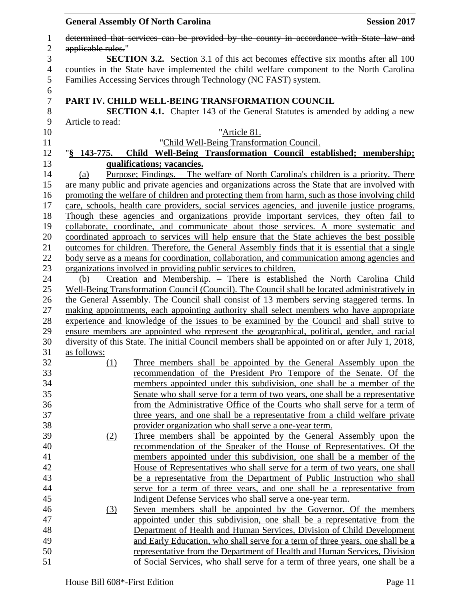|                       |                    | <b>General Assembly Of North Carolina</b>                                                              | <b>Session 2017</b> |
|-----------------------|--------------------|--------------------------------------------------------------------------------------------------------|---------------------|
| 1<br>$\mathbf{2}$     | applicable rules." | determined that services can be provided by the county in accordance with State law and                |                     |
| 3                     |                    | <b>SECTION 3.2.</b> Section 3.1 of this act becomes effective six months after all 100                 |                     |
| $\overline{4}$        |                    | counties in the State have implemented the child welfare component to the North Carolina               |                     |
| 5                     |                    | Families Accessing Services through Technology (NC FAST) system.                                       |                     |
| 6<br>$\boldsymbol{7}$ |                    | PART IV. CHILD WELL-BEING TRANSFORMATION COUNCIL                                                       |                     |
| 8                     |                    | <b>SECTION 4.1.</b> Chapter 143 of the General Statutes is amended by adding a new                     |                     |
| 9                     | Article to read:   |                                                                                                        |                     |
| 10                    |                    | "Article 81.                                                                                           |                     |
| 11                    |                    | "Child Well-Being Transformation Council.                                                              |                     |
| 12                    |                    | "§ 143-775. Child Well-Being Transformation Council established; membership;                           |                     |
| 13                    |                    | qualifications; vacancies.                                                                             |                     |
| 14                    | (a)                | <u>Purpose</u> ; Findings. – The welfare of North Carolina's children is a priority. There             |                     |
| 15                    |                    | are many public and private agencies and organizations across the State that are involved with         |                     |
| 16                    |                    | promoting the welfare of children and protecting them from harm, such as those involving child         |                     |
| 17                    |                    | care, schools, health care providers, social services agencies, and juvenile justice programs.         |                     |
| 18                    |                    | Though these agencies and organizations provide important services, they often fail to                 |                     |
| 19                    |                    | collaborate, coordinate, and communicate about those services. A more systematic and                   |                     |
| 20                    |                    | coordinated approach to services will help ensure that the State achieves the best possible            |                     |
| 21                    |                    | <u>outcomes for children. Therefore, the General Assembly finds that it is essential that a single</u> |                     |
| 22                    |                    | body serve as a means for coordination, collaboration, and communication among agencies and            |                     |
| 23                    |                    | organizations involved in providing public services to children.                                       |                     |
| 24                    | (b)                | Creation and Membership. - There is established the North Carolina Child                               |                     |
| 25                    |                    | Well-Being Transformation Council (Council). The Council shall be located administratively in          |                     |
| 26                    |                    | the General Assembly. The Council shall consist of 13 members serving staggered terms. In              |                     |
| 27                    |                    | making appointments, each appointing authority shall select members who have appropriate               |                     |
| 28                    |                    | experience and knowledge of the issues to be examined by the Council and shall strive to               |                     |
| 29                    |                    | ensure members are appointed who represent the geographical, political, gender, and racial             |                     |
| 30                    |                    | diversity of this State. The initial Council members shall be appointed on or after July 1, 2018,      |                     |
| 31                    | as follows:        |                                                                                                        |                     |
| 32                    | (1)                | Three members shall be appointed by the General Assembly upon the                                      |                     |
| 33                    |                    | recommendation of the President Pro Tempore of the Senate. Of the                                      |                     |
| 34                    |                    | members appointed under this subdivision, one shall be a member of the                                 |                     |
| 35                    |                    | Senate who shall serve for a term of two years, one shall be a representative                          |                     |
| 36                    |                    | from the Administrative Office of the Courts who shall serve for a term of                             |                     |
| 37                    |                    | three years, and one shall be a representative from a child welfare private                            |                     |
| 38                    |                    | provider organization who shall serve a one-year term.                                                 |                     |
| 39                    | (2)                | Three members shall be appointed by the General Assembly upon the                                      |                     |
| 40                    |                    | recommendation of the Speaker of the House of Representatives. Of the                                  |                     |
| 41                    |                    | members appointed under this subdivision, one shall be a member of the                                 |                     |
| 42                    |                    | <u>House of Representatives who shall serve for a term of two years, one shall</u>                     |                     |
| 43                    |                    | be a representative from the Department of Public Instruction who shall                                |                     |
| 44                    |                    | serve for a term of three years, and one shall be a representative from                                |                     |
| 45                    |                    | Indigent Defense Services who shall serve a one-year term.                                             |                     |
| 46                    | (3)                | Seven members shall be appointed by the Governor. Of the members                                       |                     |
| 47                    |                    | appointed under this subdivision, one shall be a representative from the                               |                     |
| 48                    |                    | Department of Health and Human Services, Division of Child Development                                 |                     |
| 49                    |                    | and Early Education, who shall serve for a term of three years, one shall be a                         |                     |
| 50                    |                    | representative from the Department of Health and Human Services, Division                              |                     |
| 51                    |                    | of Social Services, who shall serve for a term of three years, one shall be a                          |                     |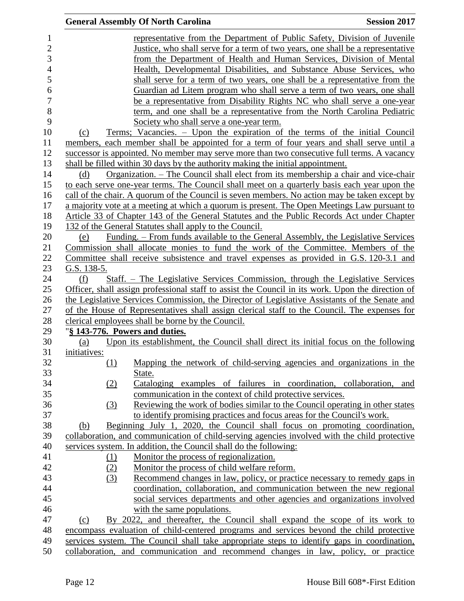|                |                                | <b>General Assembly Of North Carolina</b>                                                         | <b>Session 2017</b> |
|----------------|--------------------------------|---------------------------------------------------------------------------------------------------|---------------------|
| $\mathbf{1}$   |                                | representative from the Department of Public Safety, Division of Juvenile                         |                     |
| $\overline{c}$ |                                | Justice, who shall serve for a term of two years, one shall be a representative                   |                     |
| 3              |                                | from the Department of Health and Human Services, Division of Mental                              |                     |
| $\overline{4}$ |                                | Health, Developmental Disabilities, and Substance Abuse Services, who                             |                     |
| 5              |                                | shall serve for a term of two years, one shall be a representative from the                       |                     |
| 6              |                                | Guardian ad Litem program who shall serve a term of two years, one shall                          |                     |
| 7              |                                | be a representative from Disability Rights NC who shall serve a one-year                          |                     |
| 8              |                                | term, and one shall be a representative from the North Carolina Pediatric                         |                     |
| 9              |                                | Society who shall serve a one-year term.                                                          |                     |
| 10             | (c)                            | Terms; Vacancies. – Upon the expiration of the terms of the initial Council                       |                     |
| 11             |                                | members, each member shall be appointed for a term of four years and shall serve until a          |                     |
| 12             |                                | successor is appointed. No member may serve more than two consecutive full terms. A vacancy       |                     |
| 13             |                                | shall be filled within 30 days by the authority making the initial appointment.                   |                     |
| 14             | (d)                            | Organization. – The Council shall elect from its membership a chair and vice-chair                |                     |
| 15             |                                | to each serve one-year terms. The Council shall meet on a quarterly basis each year upon the      |                     |
| 16             |                                | call of the chair. A quorum of the Council is seven members. No action may be taken except by     |                     |
| 17             |                                | a majority vote at a meeting at which a quorum is present. The Open Meetings Law pursuant to      |                     |
| 18             |                                | Article 33 of Chapter 143 of the General Statutes and the Public Records Act under Chapter        |                     |
| 19             |                                | 132 of the General Statutes shall apply to the Council.                                           |                     |
| 20             | (e)                            | Funding. – From funds available to the General Assembly, the Legislative Services                 |                     |
| 21             |                                | Commission shall allocate monies to fund the work of the Committee. Members of the                |                     |
| 22             |                                | Committee shall receive subsistence and travel expenses as provided in G.S. 120-3.1 and           |                     |
| 23             | G.S. $138-5$ .                 |                                                                                                   |                     |
| 24             | (f)                            | <u>Staff. – The Legislative Services Commission, through the Legislative Services</u>             |                     |
| 25             |                                | Officer, shall assign professional staff to assist the Council in its work. Upon the direction of |                     |
| 26             |                                | the Legislative Services Commission, the Director of Legislative Assistants of the Senate and     |                     |
| 27             |                                | of the House of Representatives shall assign clerical staff to the Council. The expenses for      |                     |
| 28             |                                | clerical employees shall be borne by the Council.                                                 |                     |
| 29             | "§ 143-776. Powers and duties. |                                                                                                   |                     |
| 30             | (a)                            | Upon its establishment, the Council shall direct its initial focus on the following               |                     |
| 31             | initiatives:                   |                                                                                                   |                     |
| 32             | (1)                            | Mapping the network of child-serving agencies and organizations in the                            |                     |
| 33             |                                | State.                                                                                            |                     |
| 34             | (2)                            | Cataloging examples of failures in coordination, collaboration, and                               |                     |
| 35             |                                | communication in the context of child protective services.                                        |                     |
| 36             | (3)                            | Reviewing the work of bodies similar to the Council operating in other states                     |                     |
| 37             |                                | to identify promising practices and focus areas for the Council's work.                           |                     |
| 38             | (b)                            | Beginning July 1, 2020, the Council shall focus on promoting coordination,                        |                     |
| 39<br>40       |                                | collaboration, and communication of child-serving agencies involved with the child protective     |                     |
| 41             |                                | services system. In addition, the Council shall do the following:                                 |                     |
| 42             | (1)                            | Monitor the process of regionalization.<br>Monitor the process of child welfare reform.           |                     |
| 43             | (2)<br>(3)                     | Recommend changes in law, policy, or practice necessary to remedy gaps in                         |                     |
| 44             |                                | coordination, collaboration, and communication between the new regional                           |                     |
| 45             |                                | social services departments and other agencies and organizations involved                         |                     |
| 46             |                                | with the same populations.                                                                        |                     |
| 47             | (c)                            | By 2022, and thereafter, the Council shall expand the scope of its work to                        |                     |
| 48             |                                | encompass evaluation of child-centered programs and services beyond the child protective          |                     |
| 49             |                                | services system. The Council shall take appropriate steps to identify gaps in coordination,       |                     |
| 50             |                                | collaboration, and communication and recommend changes in law, policy, or practice                |                     |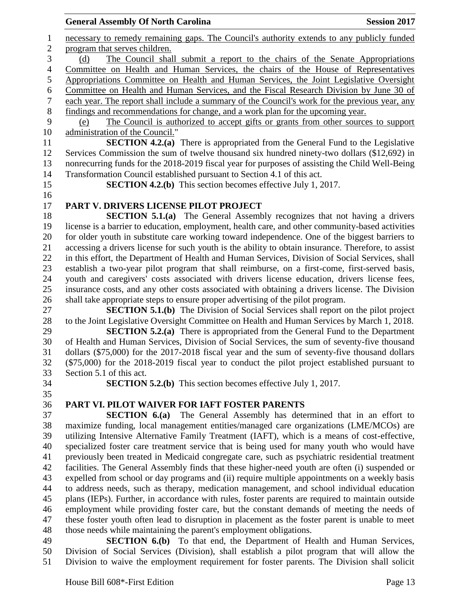# necessary to remedy remaining gaps. The Council's authority extends to any publicly funded program that serves children. (d) The Council shall submit a report to the chairs of the Senate Appropriations Committee on Health and Human Services, the chairs of the House of Representatives Appropriations Committee on Health and Human Services, the Joint Legislative Oversight 6 Committee on Health and Human Services, and the Fiscal Research Division by June 30 of each vear. The report shall include a summary of the Council's work for the previous year, any each year. The report shall include a summary of the Council's work for the previous year, any findings and recommendations for change, and a work plan for the upcoming year. (e) The Council is authorized to accept gifts or grants from other sources to support administration of the Council." **SECTION 4.2.(a)** There is appropriated from the General Fund to the Legislative Services Commission the sum of twelve thousand six hundred ninety-two dollars (\$12,692) in nonrecurring funds for the 2018-2019 fiscal year for purposes of assisting the Child Well-Being Transformation Council established pursuant to Section 4.1 of this act. **SECTION 4.2.(b)** This section becomes effective July 1, 2017. **PART V. DRIVERS LICENSE PILOT PROJECT SECTION 5.1.(a)** The General Assembly recognizes that not having a drivers license is a barrier to education, employment, health care, and other community-based activities for older youth in substitute care working toward independence. One of the biggest barriers to accessing a drivers license for such youth is the ability to obtain insurance. Therefore, to assist in this effort, the Department of Health and Human Services, Division of Social Services, shall establish a two-year pilot program that shall reimburse, on a first-come, first-served basis, youth and caregivers' costs associated with drivers license education, drivers license fees, insurance costs, and any other costs associated with obtaining a drivers license. The Division shall take appropriate steps to ensure proper advertising of the pilot program. **SECTION 5.1.(b)** The Division of Social Services shall report on the pilot project to the Joint Legislative Oversight Committee on Health and Human Services by March 1, 2018. **SECTION 5.2.(a)** There is appropriated from the General Fund to the Department of Health and Human Services, Division of Social Services, the sum of seventy-five thousand dollars (\$75,000) for the 2017-2018 fiscal year and the sum of seventy-five thousand dollars (\$75,000) for the 2018-2019 fiscal year to conduct the pilot project established pursuant to Section 5.1 of this act. **SECTION 5.2.(b)** This section becomes effective July 1, 2017. **PART VI. PILOT WAIVER FOR IAFT FOSTER PARENTS SECTION 6.(a)** The General Assembly has determined that in an effort to maximize funding, local management entities/managed care organizations (LME/MCOs) are utilizing Intensive Alternative Family Treatment (IAFT), which is a means of cost-effective, specialized foster care treatment service that is being used for many youth who would have previously been treated in Medicaid congregate care, such as psychiatric residential treatment facilities. The General Assembly finds that these higher-need youth are often (i) suspended or expelled from school or day programs and (ii) require multiple appointments on a weekly basis to address needs, such as therapy, medication management, and school individual education plans (IEPs). Further, in accordance with rules, foster parents are required to maintain outside employment while providing foster care, but the constant demands of meeting the needs of these foster youth often lead to disruption in placement as the foster parent is unable to meet those needs while maintaining the parent's employment obligations. **SECTION 6.(b)** To that end, the Department of Health and Human Services, Division of Social Services (Division), shall establish a pilot program that will allow the

**General Assembly Of North Carolina Session 2017** 

Division to waive the employment requirement for foster parents. The Division shall solicit